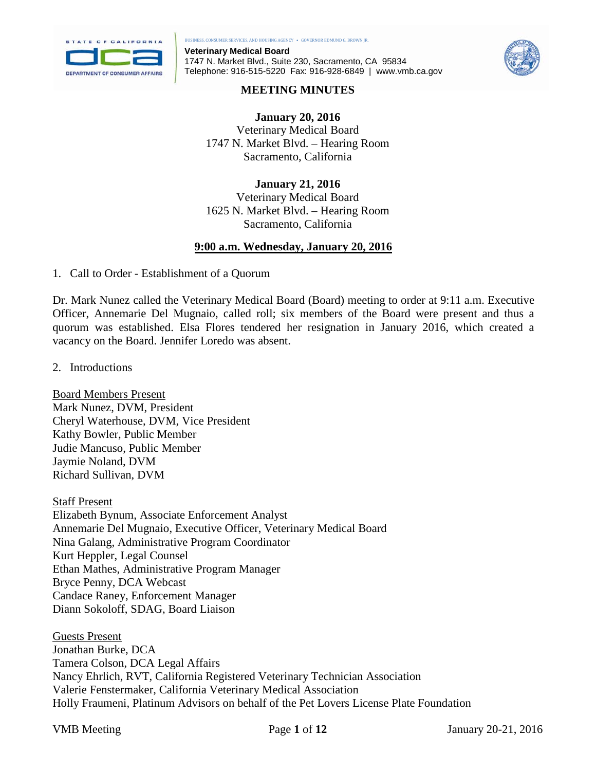

**Veterinary Medical Board** 1747 N. Market Blvd., Suite 230, Sacramento, CA 95834 Telephone: 916-515-5220 Fax: 916-928-6849 | www.vmb.ca.gov



### **MEETING MINUTES**

**January 20, 2016** Veterinary Medical Board 1747 N. Market Blvd. – Hearing Room Sacramento, California

**January 21, 2016** Veterinary Medical Board 1625 N. Market Blvd. – Hearing Room Sacramento, California

## **9:00 a.m. Wednesday, January 20, 2016**

1. Call to Order - Establishment of a Quorum

Dr. Mark Nunez called the Veterinary Medical Board (Board) meeting to order at 9:11 a.m. Executive Officer, Annemarie Del Mugnaio, called roll; six members of the Board were present and thus a quorum was established. Elsa Flores tendered her resignation in January 2016, which created a vacancy on the Board. Jennifer Loredo was absent.

2. Introductions

Board Members Present Mark Nunez, DVM, President Cheryl Waterhouse, DVM, Vice President Kathy Bowler, Public Member Judie Mancuso, Public Member Jaymie Noland, DVM Richard Sullivan, DVM

Staff Present Elizabeth Bynum, Associate Enforcement Analyst Annemarie Del Mugnaio, Executive Officer, Veterinary Medical Board Nina Galang, Administrative Program Coordinator Kurt Heppler, Legal Counsel Ethan Mathes, Administrative Program Manager Bryce Penny, DCA Webcast Candace Raney, Enforcement Manager Diann Sokoloff, SDAG, Board Liaison

Guests Present Jonathan Burke, DCA Tamera Colson, DCA Legal Affairs Nancy Ehrlich, RVT, California Registered Veterinary Technician Association Valerie Fenstermaker, California Veterinary Medical Association Holly Fraumeni, Platinum Advisors on behalf of the Pet Lovers License Plate Foundation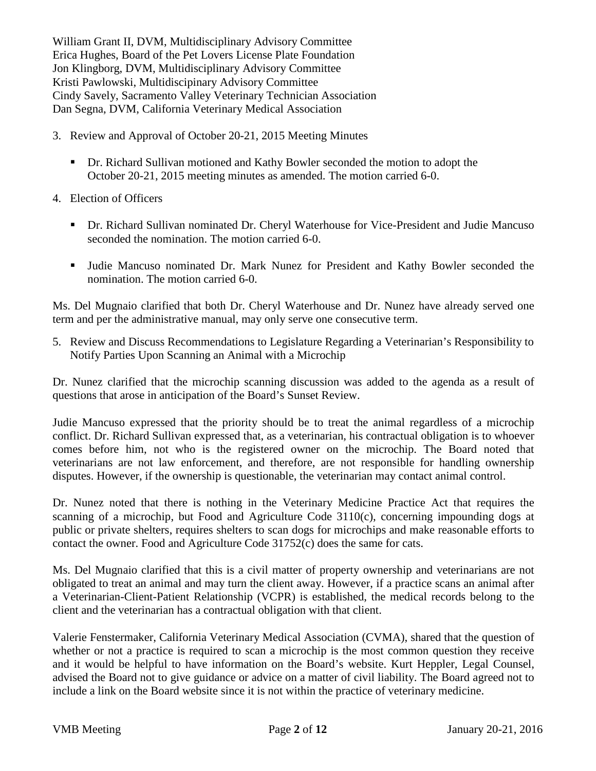William Grant II, DVM, Multidisciplinary Advisory Committee Erica Hughes, Board of the Pet Lovers License Plate Foundation Jon Klingborg, DVM, Multidisciplinary Advisory Committee Kristi Pawlowski, Multidiscipinary Advisory Committee Cindy Savely, Sacramento Valley Veterinary Technician Association Dan Segna, DVM, California Veterinary Medical Association

- 3. Review and Approval of October 20-21, 2015 Meeting Minutes
	- Dr. Richard Sullivan motioned and Kathy Bowler seconded the motion to adopt the October 20-21, 2015 meeting minutes as amended. The motion carried 6-0.
- 4. Election of Officers
	- Dr. Richard Sullivan nominated Dr. Cheryl Waterhouse for Vice-President and Judie Mancuso seconded the nomination. The motion carried 6-0.
	- Judie Mancuso nominated Dr. Mark Nunez for President and Kathy Bowler seconded the nomination. The motion carried 6-0.

Ms. Del Mugnaio clarified that both Dr. Cheryl Waterhouse and Dr. Nunez have already served one term and per the administrative manual, may only serve one consecutive term.

5. Review and Discuss Recommendations to Legislature Regarding a Veterinarian's Responsibility to Notify Parties Upon Scanning an Animal with a Microchip

Dr. Nunez clarified that the microchip scanning discussion was added to the agenda as a result of questions that arose in anticipation of the Board's Sunset Review.

Judie Mancuso expressed that the priority should be to treat the animal regardless of a microchip conflict. Dr. Richard Sullivan expressed that, as a veterinarian, his contractual obligation is to whoever comes before him, not who is the registered owner on the microchip. The Board noted that veterinarians are not law enforcement, and therefore, are not responsible for handling ownership disputes. However, if the ownership is questionable, the veterinarian may contact animal control.

Dr. Nunez noted that there is nothing in the Veterinary Medicine Practice Act that requires the scanning of a microchip, but Food and Agriculture Code 3110(c), concerning impounding dogs at public or private shelters, requires shelters to scan dogs for microchips and make reasonable efforts to contact the owner. Food and Agriculture Code 31752(c) does the same for cats.

Ms. Del Mugnaio clarified that this is a civil matter of property ownership and veterinarians are not obligated to treat an animal and may turn the client away. However, if a practice scans an animal after a Veterinarian-Client-Patient Relationship (VCPR) is established, the medical records belong to the client and the veterinarian has a contractual obligation with that client.

Valerie Fenstermaker, California Veterinary Medical Association (CVMA), shared that the question of whether or not a practice is required to scan a microchip is the most common question they receive and it would be helpful to have information on the Board's website. Kurt Heppler, Legal Counsel, advised the Board not to give guidance or advice on a matter of civil liability. The Board agreed not to include a link on the Board website since it is not within the practice of veterinary medicine.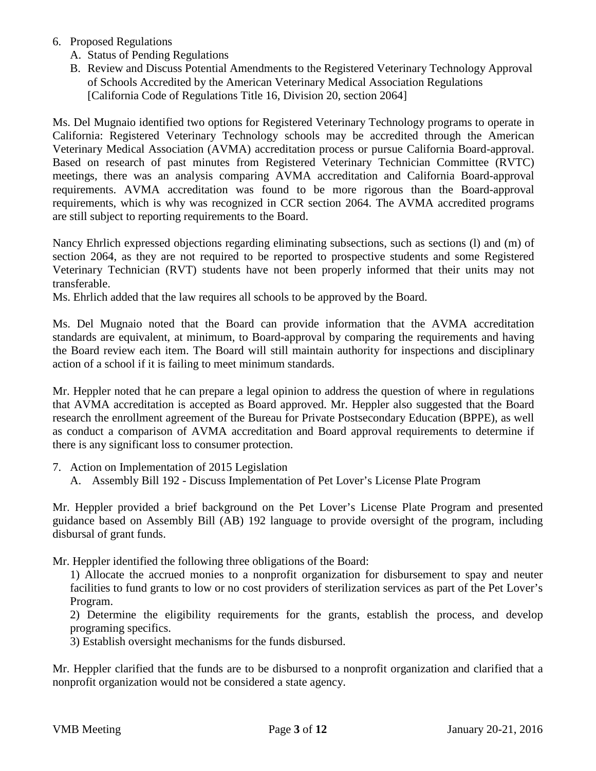- 6. Proposed Regulations
	- A. Status of Pending Regulations
	- B. Review and Discuss Potential Amendments to the Registered Veterinary Technology Approval of Schools Accredited by the American Veterinary Medical Association Regulations [California Code of Regulations Title 16, Division 20, section 2064]

Ms. Del Mugnaio identified two options for Registered Veterinary Technology programs to operate in California: Registered Veterinary Technology schools may be accredited through the American Veterinary Medical Association (AVMA) accreditation process or pursue California Board-approval. Based on research of past minutes from Registered Veterinary Technician Committee (RVTC) meetings, there was an analysis comparing AVMA accreditation and California Board-approval requirements. AVMA accreditation was found to be more rigorous than the Board-approval requirements, which is why was recognized in CCR section 2064. The AVMA accredited programs are still subject to reporting requirements to the Board.

Nancy Ehrlich expressed objections regarding eliminating subsections, such as sections (l) and (m) of section 2064, as they are not required to be reported to prospective students and some Registered Veterinary Technician (RVT) students have not been properly informed that their units may not transferable.

Ms. Ehrlich added that the law requires all schools to be approved by the Board.

Ms. Del Mugnaio noted that the Board can provide information that the AVMA accreditation standards are equivalent, at minimum, to Board-approval by comparing the requirements and having the Board review each item. The Board will still maintain authority for inspections and disciplinary action of a school if it is failing to meet minimum standards.

Mr. Heppler noted that he can prepare a legal opinion to address the question of where in regulations that AVMA accreditation is accepted as Board approved. Mr. Heppler also suggested that the Board research the enrollment agreement of the Bureau for Private Postsecondary Education (BPPE), as well as conduct a comparison of AVMA accreditation and Board approval requirements to determine if there is any significant loss to consumer protection.

- 7. Action on Implementation of 2015 Legislation
	- A. Assembly Bill 192 Discuss Implementation of Pet Lover's License Plate Program

Mr. Heppler provided a brief background on the Pet Lover's License Plate Program and presented guidance based on Assembly Bill (AB) 192 language to provide oversight of the program, including disbursal of grant funds.

Mr. Heppler identified the following three obligations of the Board:

1) Allocate the accrued monies to a nonprofit organization for disbursement to spay and neuter facilities to fund grants to low or no cost providers of sterilization services as part of the Pet Lover's Program.

2) Determine the eligibility requirements for the grants, establish the process, and develop programing specifics.

3) Establish oversight mechanisms for the funds disbursed.

Mr. Heppler clarified that the funds are to be disbursed to a nonprofit organization and clarified that a nonprofit organization would not be considered a state agency.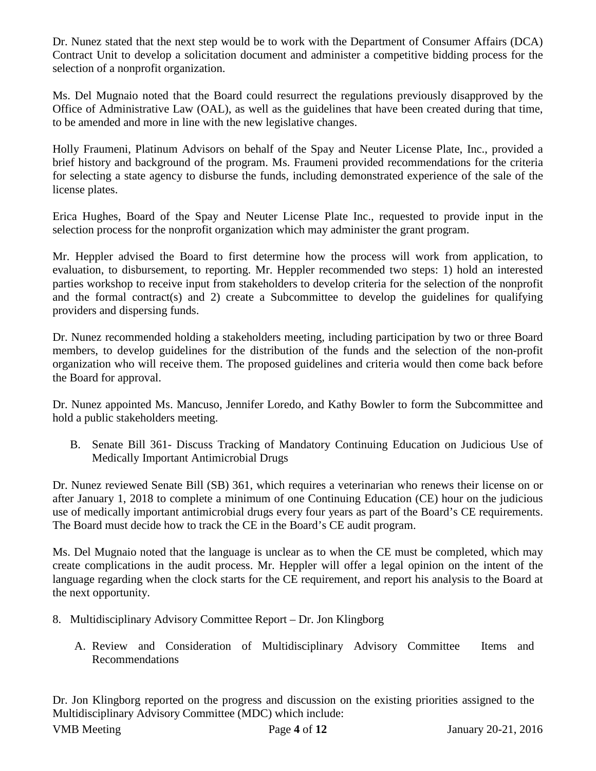Dr. Nunez stated that the next step would be to work with the Department of Consumer Affairs (DCA) Contract Unit to develop a solicitation document and administer a competitive bidding process for the selection of a nonprofit organization.

Ms. Del Mugnaio noted that the Board could resurrect the regulations previously disapproved by the Office of Administrative Law (OAL), as well as the guidelines that have been created during that time, to be amended and more in line with the new legislative changes.

Holly Fraumeni, Platinum Advisors on behalf of the Spay and Neuter License Plate, Inc., provided a brief history and background of the program. Ms. Fraumeni provided recommendations for the criteria for selecting a state agency to disburse the funds, including demonstrated experience of the sale of the license plates.

Erica Hughes, Board of the Spay and Neuter License Plate Inc., requested to provide input in the selection process for the nonprofit organization which may administer the grant program.

Mr. Heppler advised the Board to first determine how the process will work from application, to evaluation, to disbursement, to reporting. Mr. Heppler recommended two steps: 1) hold an interested parties workshop to receive input from stakeholders to develop criteria for the selection of the nonprofit and the formal contract(s) and 2) create a Subcommittee to develop the guidelines for qualifying providers and dispersing funds.

Dr. Nunez recommended holding a stakeholders meeting, including participation by two or three Board members, to develop guidelines for the distribution of the funds and the selection of the non-profit organization who will receive them. The proposed guidelines and criteria would then come back before the Board for approval.

Dr. Nunez appointed Ms. Mancuso, Jennifer Loredo, and Kathy Bowler to form the Subcommittee and hold a public stakeholders meeting.

B. Senate Bill 361- Discuss Tracking of Mandatory Continuing Education on Judicious Use of Medically Important Antimicrobial Drugs

Dr. Nunez reviewed Senate Bill (SB) 361, which requires a veterinarian who renews their license on or after January 1, 2018 to complete a minimum of one Continuing Education (CE) hour on the judicious use of medically important antimicrobial drugs every four years as part of the Board's CE requirements. The Board must decide how to track the CE in the Board's CE audit program.

Ms. Del Mugnaio noted that the language is unclear as to when the CE must be completed, which may create complications in the audit process. Mr. Heppler will offer a legal opinion on the intent of the language regarding when the clock starts for the CE requirement, and report his analysis to the Board at the next opportunity.

- 8. Multidisciplinary Advisory Committee Report Dr. Jon Klingborg
	- A. Review and Consideration of Multidisciplinary Advisory Committee Items and Recommendations

Dr. Jon Klingborg reported on the progress and discussion on the existing priorities assigned to the Multidisciplinary Advisory Committee (MDC) which include: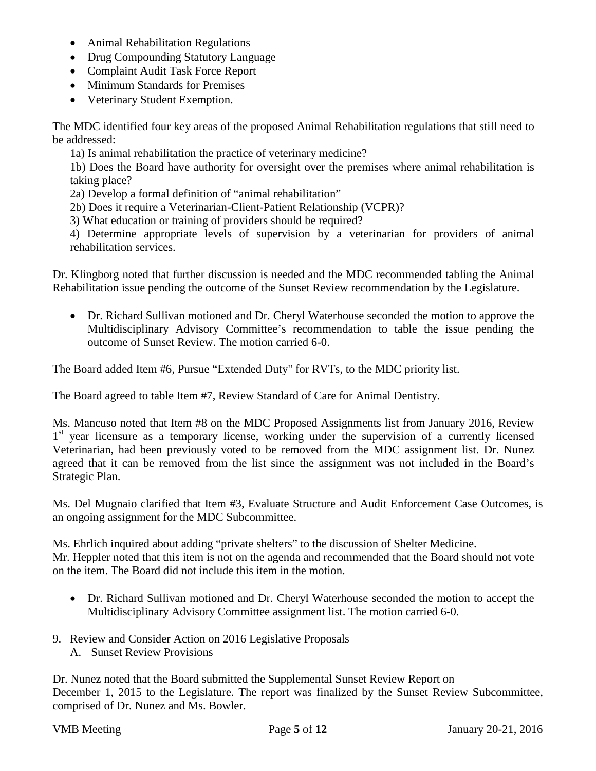- Animal Rehabilitation Regulations
- Drug Compounding Statutory Language
- Complaint Audit Task Force Report
- Minimum Standards for Premises
- Veterinary Student Exemption.

The MDC identified four key areas of the proposed Animal Rehabilitation regulations that still need to be addressed:

1a) Is animal rehabilitation the practice of veterinary medicine?

1b) Does the Board have authority for oversight over the premises where animal rehabilitation is taking place?

2a) Develop a formal definition of "animal rehabilitation"

2b) Does it require a Veterinarian-Client-Patient Relationship (VCPR)?

3) What education or training of providers should be required?

4) Determine appropriate levels of supervision by a veterinarian for providers of animal rehabilitation services.

Dr. Klingborg noted that further discussion is needed and the MDC recommended tabling the Animal Rehabilitation issue pending the outcome of the Sunset Review recommendation by the Legislature.

• Dr. Richard Sullivan motioned and Dr. Cheryl Waterhouse seconded the motion to approve the Multidisciplinary Advisory Committee's recommendation to table the issue pending the outcome of Sunset Review. The motion carried 6-0.

The Board added Item #6, Pursue "Extended Duty" for RVTs, to the MDC priority list.

The Board agreed to table Item #7, Review Standard of Care for Animal Dentistry.

Ms. Mancuso noted that Item #8 on the MDC Proposed Assignments list from January 2016, Review 1<sup>st</sup> year licensure as a temporary license, working under the supervision of a currently licensed Veterinarian, had been previously voted to be removed from the MDC assignment list. Dr. Nunez agreed that it can be removed from the list since the assignment was not included in the Board's Strategic Plan.

Ms. Del Mugnaio clarified that Item #3, Evaluate Structure and Audit Enforcement Case Outcomes, is an ongoing assignment for the MDC Subcommittee.

Ms. Ehrlich inquired about adding "private shelters" to the discussion of Shelter Medicine. Mr. Heppler noted that this item is not on the agenda and recommended that the Board should not vote on the item. The Board did not include this item in the motion.

- Dr. Richard Sullivan motioned and Dr. Cheryl Waterhouse seconded the motion to accept the Multidisciplinary Advisory Committee assignment list. The motion carried 6-0.
- 9. Review and Consider Action on 2016 Legislative Proposals
	- A. Sunset Review Provisions

Dr. Nunez noted that the Board submitted the Supplemental Sunset Review Report on December 1, 2015 to the Legislature. The report was finalized by the Sunset Review Subcommittee, comprised of Dr. Nunez and Ms. Bowler.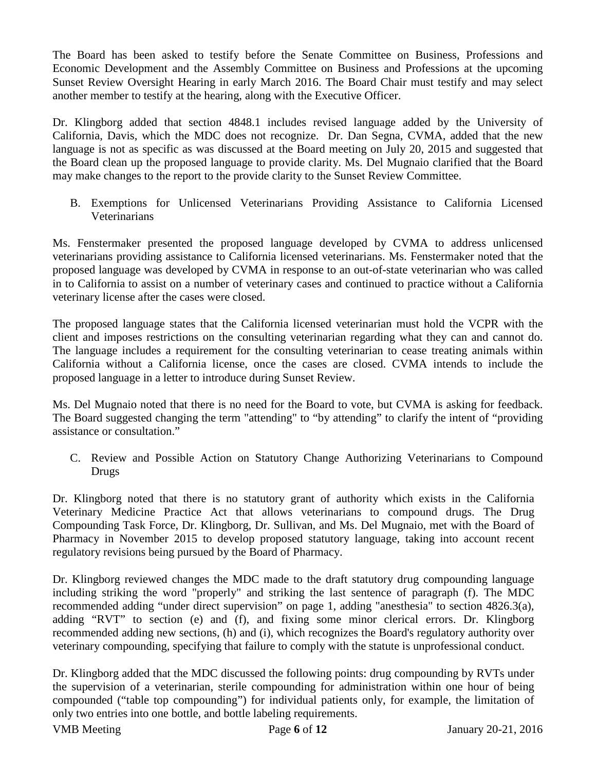The Board has been asked to testify before the Senate Committee on Business, Professions and Economic Development and the Assembly Committee on Business and Professions at the upcoming Sunset Review Oversight Hearing in early March 2016. The Board Chair must testify and may select another member to testify at the hearing, along with the Executive Officer.

Dr. Klingborg added that section 4848.1 includes revised language added by the University of California, Davis, which the MDC does not recognize. Dr. Dan Segna, CVMA, added that the new language is not as specific as was discussed at the Board meeting on July 20, 2015 and suggested that the Board clean up the proposed language to provide clarity. Ms. Del Mugnaio clarified that the Board may make changes to the report to the provide clarity to the Sunset Review Committee.

B. Exemptions for Unlicensed Veterinarians Providing Assistance to California Licensed Veterinarians

Ms. Fenstermaker presented the proposed language developed by CVMA to address unlicensed veterinarians providing assistance to California licensed veterinarians. Ms. Fenstermaker noted that the proposed language was developed by CVMA in response to an out-of-state veterinarian who was called in to California to assist on a number of veterinary cases and continued to practice without a California veterinary license after the cases were closed.

The proposed language states that the California licensed veterinarian must hold the VCPR with the client and imposes restrictions on the consulting veterinarian regarding what they can and cannot do. The language includes a requirement for the consulting veterinarian to cease treating animals within California without a California license, once the cases are closed. CVMA intends to include the proposed language in a letter to introduce during Sunset Review.

Ms. Del Mugnaio noted that there is no need for the Board to vote, but CVMA is asking for feedback. The Board suggested changing the term "attending" to "by attending" to clarify the intent of "providing assistance or consultation."

C. Review and Possible Action on Statutory Change Authorizing Veterinarians to Compound Drugs

Dr. Klingborg noted that there is no statutory grant of authority which exists in the California Veterinary Medicine Practice Act that allows veterinarians to compound drugs. The Drug Compounding Task Force, Dr. Klingborg, Dr. Sullivan, and Ms. Del Mugnaio, met with the Board of Pharmacy in November 2015 to develop proposed statutory language, taking into account recent regulatory revisions being pursued by the Board of Pharmacy.

Dr. Klingborg reviewed changes the MDC made to the draft statutory drug compounding language including striking the word "properly" and striking the last sentence of paragraph (f). The MDC recommended adding "under direct supervision" on page 1, adding "anesthesia" to section 4826.3(a), adding "RVT" to section (e) and (f), and fixing some minor clerical errors. Dr. Klingborg recommended adding new sections, (h) and (i), which recognizes the Board's regulatory authority over veterinary compounding, specifying that failure to comply with the statute is unprofessional conduct.

Dr. Klingborg added that the MDC discussed the following points: drug compounding by RVTs under the supervision of a veterinarian, sterile compounding for administration within one hour of being compounded ("table top compounding") for individual patients only, for example, the limitation of only two entries into one bottle, and bottle labeling requirements.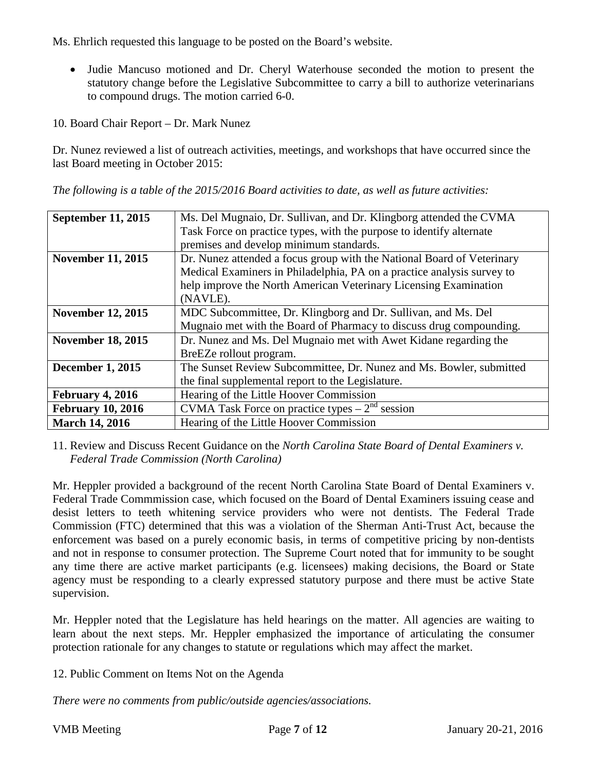Ms. Ehrlich requested this language to be posted on the Board's website.

- Judie Mancuso motioned and Dr. Cheryl Waterhouse seconded the motion to present the statutory change before the Legislative Subcommittee to carry a bill to authorize veterinarians to compound drugs. The motion carried 6-0.
- 10. Board Chair Report Dr. Mark Nunez

Dr. Nunez reviewed a list of outreach activities, meetings, and workshops that have occurred since the last Board meeting in October 2015:

*The following is a table of the 2015/2016 Board activities to date, as well as future activities:*

| <b>September 11, 2015</b> | Ms. Del Mugnaio, Dr. Sullivan, and Dr. Klingborg attended the CVMA     |
|---------------------------|------------------------------------------------------------------------|
|                           | Task Force on practice types, with the purpose to identify alternate   |
|                           | premises and develop minimum standards.                                |
| <b>November 11, 2015</b>  | Dr. Nunez attended a focus group with the National Board of Veterinary |
|                           | Medical Examiners in Philadelphia, PA on a practice analysis survey to |
|                           | help improve the North American Veterinary Licensing Examination       |
|                           | (NAVLE).                                                               |
| <b>November 12, 2015</b>  | MDC Subcommittee, Dr. Klingborg and Dr. Sullivan, and Ms. Del          |
|                           | Mugnaio met with the Board of Pharmacy to discuss drug compounding.    |
| <b>November 18, 2015</b>  | Dr. Nunez and Ms. Del Mugnaio met with Awet Kidane regarding the       |
|                           | BreEZe rollout program.                                                |
| <b>December 1, 2015</b>   | The Sunset Review Subcommittee, Dr. Nunez and Ms. Bowler, submitted    |
|                           | the final supplemental report to the Legislature.                      |
| February 4, 2016          | Hearing of the Little Hoover Commission                                |
| <b>February 10, 2016</b>  | CVMA Task Force on practice types $-2nd$ session                       |
| <b>March 14, 2016</b>     | Hearing of the Little Hoover Commission                                |

11. Review and Discuss Recent Guidance on the *North Carolina State Board of Dental Examiners v. Federal Trade Commission (North Carolina)*

Mr. Heppler provided a background of the recent North Carolina State Board of Dental Examiners v. Federal Trade Commmission case, which focused on the Board of Dental Examiners issuing cease and desist letters to teeth whitening service providers who were not dentists. The Federal Trade Commission (FTC) determined that this was a violation of the Sherman Anti-Trust Act, because the enforcement was based on a purely economic basis, in terms of competitive pricing by non-dentists and not in response to consumer protection. The Supreme Court noted that for immunity to be sought any time there are active market participants (e.g. licensees) making decisions, the Board or State agency must be responding to a clearly expressed statutory purpose and there must be active State supervision.

Mr. Heppler noted that the Legislature has held hearings on the matter. All agencies are waiting to learn about the next steps. Mr. Heppler emphasized the importance of articulating the consumer protection rationale for any changes to statute or regulations which may affect the market.

12. Public Comment on Items Not on the Agenda

*There were no comments from public/outside agencies/associations.*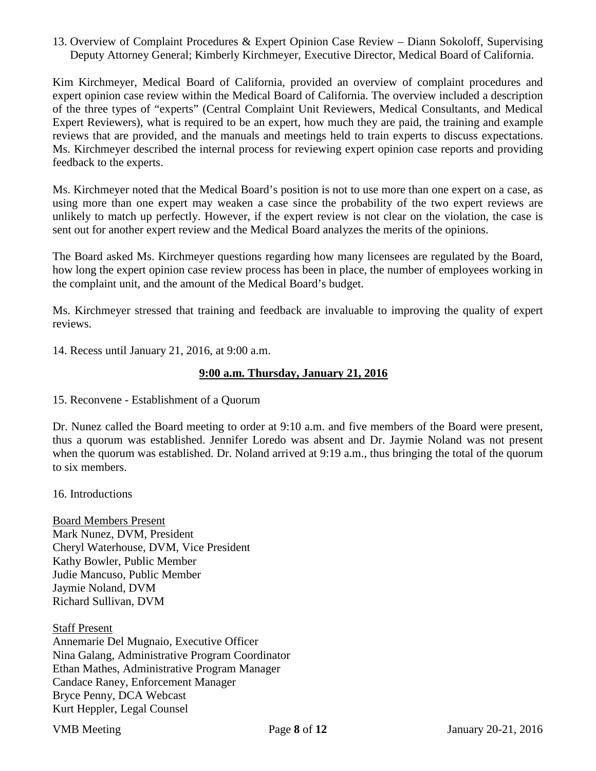13. Overview of Complaint Procedures & Expert Opinion Case Review – Diann Sokoloff, Supervising Deputy Attorney General; Kimberly Kirchmeyer, Executive Director, Medical Board of California.

Kim Kirchmeyer, Medical Board of California, provided an overview of complaint procedures and expert opinion case review within the Medical Board of California. The overview included a description of the three types of "experts" (Central Complaint Unit Reviewers, Medical Consultants, and Medical Expert Reviewers), what is required to be an expert, how much they are paid, the training and example reviews that are provided, and the manuals and meetings held to train experts to discuss expectations. Ms. Kirchmeyer described the internal process for reviewing expert opinion case reports and providing feedback to the experts.

Ms. Kirchmeyer noted that the Medical Board's position is not to use more than one expert on a case, as using more than one expert may weaken a case since the probability of the two expert reviews are unlikely to match up perfectly. However, if the expert review is not clear on the violation, the case is sent out for another expert review and the Medical Board analyzes the merits of the opinions.

The Board asked Ms. Kirchmeyer questions regarding how many licensees are regulated by the Board, how long the expert opinion case review process has been in place, the number of employees working in the complaint unit, and the amount of the Medical Board's budget.

Ms. Kirchmeyer stressed that training and feedback are invaluable to improving the quality of expert reviews.

14. Recess until January 21, 2016, at 9:00 a.m.

#### **9:00 a.m. Thursday, January 21, 2016**

15. Reconvene - Establishment of a Quorum

Dr. Nunez called the Board meeting to order at 9:10 a.m. and five members of the Board were present, thus a quorum was established. Jennifer Loredo was absent and Dr. Jaymie Noland was not present when the quorum was established. Dr. Noland arrived at 9:19 a.m., thus bringing the total of the quorum to six members.

16. Introductions

Board Members Present Mark Nunez, DVM, President Cheryl Waterhouse, DVM, Vice President Kathy Bowler, Public Member Judie Mancuso, Public Member Jaymie Noland, DVM Richard Sullivan, DVM

Staff Present Annemarie Del Mugnaio, Executive Officer Nina Galang, Administrative Program Coordinator Ethan Mathes, Administrative Program Manager Candace Raney, Enforcement Manager Bryce Penny, DCA Webcast Kurt Heppler, Legal Counsel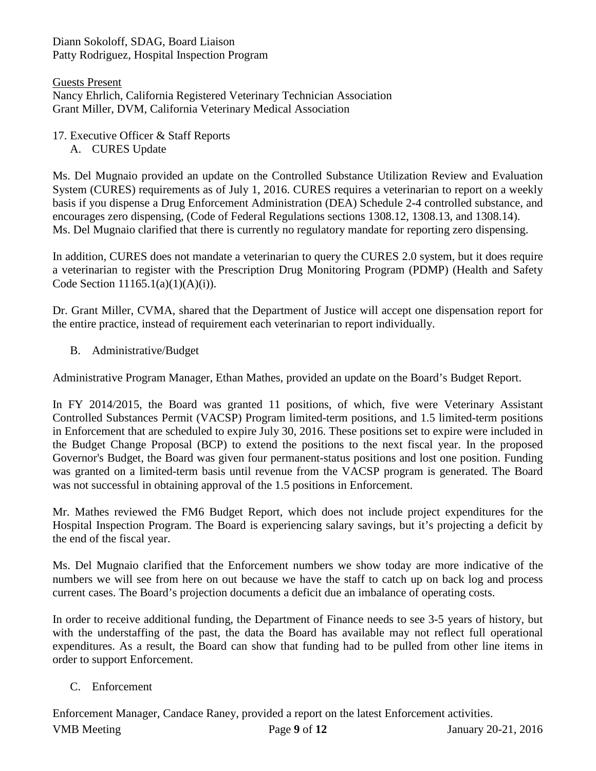Diann Sokoloff, SDAG, Board Liaison Patty Rodriguez, Hospital Inspection Program

Guests Present Nancy Ehrlich, California Registered Veterinary Technician Association Grant Miller, DVM, California Veterinary Medical Association

- 17. Executive Officer & Staff Reports
	- A. CURES Update

Ms. Del Mugnaio provided an update on the Controlled Substance Utilization Review and Evaluation System (CURES) requirements as of July 1, 2016. CURES requires a veterinarian to report on a weekly basis if you dispense a Drug Enforcement Administration (DEA) Schedule 2-4 controlled substance, and encourages zero dispensing, (Code of Federal Regulations sections 1308.12, 1308.13, and 1308.14). Ms. Del Mugnaio clarified that there is currently no regulatory mandate for reporting zero dispensing.

In addition, CURES does not mandate a veterinarian to query the CURES 2.0 system, but it does require a veterinarian to register with the Prescription Drug Monitoring Program (PDMP) (Health and Safety Code Section 11165.1(a)(1)(A)(i)).

Dr. Grant Miller, CVMA, shared that the Department of Justice will accept one dispensation report for the entire practice, instead of requirement each veterinarian to report individually.

B. Administrative/Budget

Administrative Program Manager, Ethan Mathes, provided an update on the Board's Budget Report.

In FY 2014/2015, the Board was granted 11 positions, of which, five were Veterinary Assistant Controlled Substances Permit (VACSP) Program limited-term positions, and 1.5 limited-term positions in Enforcement that are scheduled to expire July 30, 2016. These positions set to expire were included in the Budget Change Proposal (BCP) to extend the positions to the next fiscal year. In the proposed Governor's Budget, the Board was given four permanent-status positions and lost one position. Funding was granted on a limited-term basis until revenue from the VACSP program is generated. The Board was not successful in obtaining approval of the 1.5 positions in Enforcement.

Mr. Mathes reviewed the FM6 Budget Report, which does not include project expenditures for the Hospital Inspection Program. The Board is experiencing salary savings, but it's projecting a deficit by the end of the fiscal year.

Ms. Del Mugnaio clarified that the Enforcement numbers we show today are more indicative of the numbers we will see from here on out because we have the staff to catch up on back log and process current cases. The Board's projection documents a deficit due an imbalance of operating costs.

In order to receive additional funding, the Department of Finance needs to see 3-5 years of history, but with the understaffing of the past, the data the Board has available may not reflect full operational expenditures. As a result, the Board can show that funding had to be pulled from other line items in order to support Enforcement.

# C. Enforcement

VMB Meeting Page **9** of **12** January 20-21, 2016 Enforcement Manager, Candace Raney, provided a report on the latest Enforcement activities.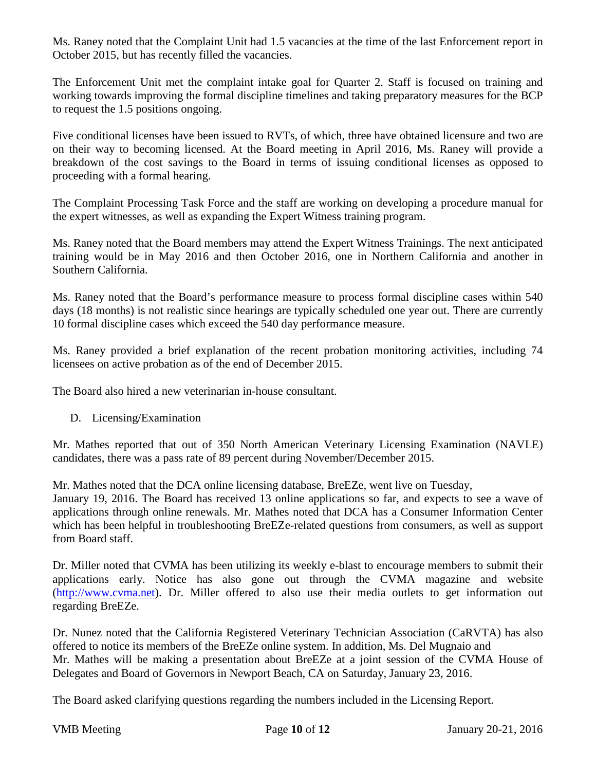Ms. Raney noted that the Complaint Unit had 1.5 vacancies at the time of the last Enforcement report in October 2015, but has recently filled the vacancies.

The Enforcement Unit met the complaint intake goal for Quarter 2. Staff is focused on training and working towards improving the formal discipline timelines and taking preparatory measures for the BCP to request the 1.5 positions ongoing.

Five conditional licenses have been issued to RVTs, of which, three have obtained licensure and two are on their way to becoming licensed. At the Board meeting in April 2016, Ms. Raney will provide a breakdown of the cost savings to the Board in terms of issuing conditional licenses as opposed to proceeding with a formal hearing.

The Complaint Processing Task Force and the staff are working on developing a procedure manual for the expert witnesses, as well as expanding the Expert Witness training program.

Ms. Raney noted that the Board members may attend the Expert Witness Trainings. The next anticipated training would be in May 2016 and then October 2016, one in Northern California and another in Southern California.

Ms. Raney noted that the Board's performance measure to process formal discipline cases within 540 days (18 months) is not realistic since hearings are typically scheduled one year out. There are currently 10 formal discipline cases which exceed the 540 day performance measure.

Ms. Raney provided a brief explanation of the recent probation monitoring activities, including 74 licensees on active probation as of the end of December 2015.

The Board also hired a new veterinarian in-house consultant.

D. Licensing/Examination

Mr. Mathes reported that out of 350 North American Veterinary Licensing Examination (NAVLE) candidates, there was a pass rate of 89 percent during November/December 2015.

Mr. Mathes noted that the DCA online licensing database, BreEZe, went live on Tuesday,

January 19, 2016. The Board has received 13 online applications so far, and expects to see a wave of applications through online renewals. Mr. Mathes noted that DCA has a Consumer Information Center which has been helpful in troubleshooting BreEZe-related questions from consumers, as well as support from Board staff.

Dr. Miller noted that CVMA has been utilizing its weekly e-blast to encourage members to submit their applications early. Notice has also gone out through the CVMA magazine and website [\(http://www.cvma.net\)](http://www.cvma.net/). Dr. Miller offered to also use their media outlets to get information out regarding BreEZe.

Dr. Nunez noted that the California Registered Veterinary Technician Association (CaRVTA) has also offered to notice its members of the BreEZe online system. In addition, Ms. Del Mugnaio and Mr. Mathes will be making a presentation about BreEZe at a joint session of the CVMA House of Delegates and Board of Governors in Newport Beach, CA on Saturday, January 23, 2016.

The Board asked clarifying questions regarding the numbers included in the Licensing Report.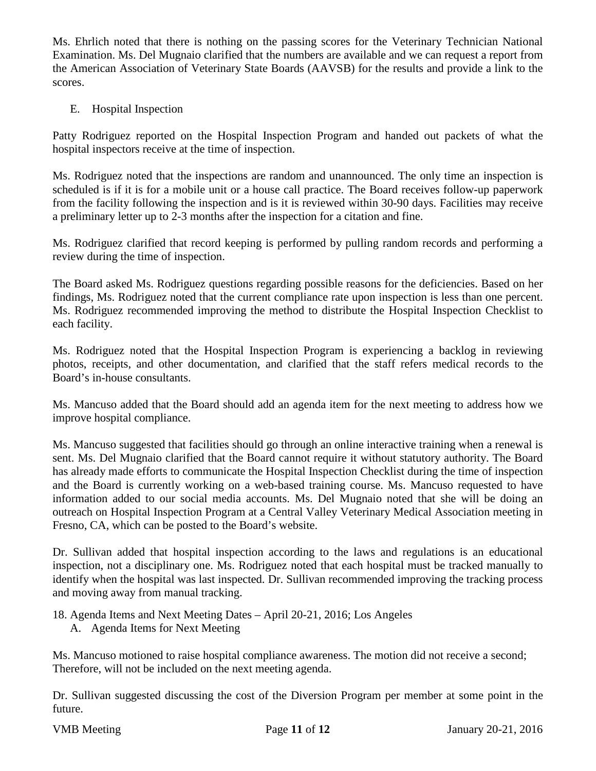Ms. Ehrlich noted that there is nothing on the passing scores for the Veterinary Technician National Examination. Ms. Del Mugnaio clarified that the numbers are available and we can request a report from the American Association of Veterinary State Boards (AAVSB) for the results and provide a link to the scores.

E. Hospital Inspection

Patty Rodriguez reported on the Hospital Inspection Program and handed out packets of what the hospital inspectors receive at the time of inspection.

Ms. Rodriguez noted that the inspections are random and unannounced. The only time an inspection is scheduled is if it is for a mobile unit or a house call practice. The Board receives follow-up paperwork from the facility following the inspection and is it is reviewed within 30-90 days. Facilities may receive a preliminary letter up to 2-3 months after the inspection for a citation and fine.

Ms. Rodriguez clarified that record keeping is performed by pulling random records and performing a review during the time of inspection.

The Board asked Ms. Rodriguez questions regarding possible reasons for the deficiencies. Based on her findings, Ms. Rodriguez noted that the current compliance rate upon inspection is less than one percent. Ms. Rodriguez recommended improving the method to distribute the Hospital Inspection Checklist to each facility.

Ms. Rodriguez noted that the Hospital Inspection Program is experiencing a backlog in reviewing photos, receipts, and other documentation, and clarified that the staff refers medical records to the Board's in-house consultants.

Ms. Mancuso added that the Board should add an agenda item for the next meeting to address how we improve hospital compliance.

Ms. Mancuso suggested that facilities should go through an online interactive training when a renewal is sent. Ms. Del Mugnaio clarified that the Board cannot require it without statutory authority. The Board has already made efforts to communicate the Hospital Inspection Checklist during the time of inspection and the Board is currently working on a web-based training course. Ms. Mancuso requested to have information added to our social media accounts. Ms. Del Mugnaio noted that she will be doing an outreach on Hospital Inspection Program at a Central Valley Veterinary Medical Association meeting in Fresno, CA, which can be posted to the Board's website.

Dr. Sullivan added that hospital inspection according to the laws and regulations is an educational inspection, not a disciplinary one. Ms. Rodriguez noted that each hospital must be tracked manually to identify when the hospital was last inspected. Dr. Sullivan recommended improving the tracking process and moving away from manual tracking.

- 18. Agenda Items and Next Meeting Dates April 20-21, 2016; Los Angeles
	- A. Agenda Items for Next Meeting

Ms. Mancuso motioned to raise hospital compliance awareness. The motion did not receive a second; Therefore, will not be included on the next meeting agenda.

Dr. Sullivan suggested discussing the cost of the Diversion Program per member at some point in the future.